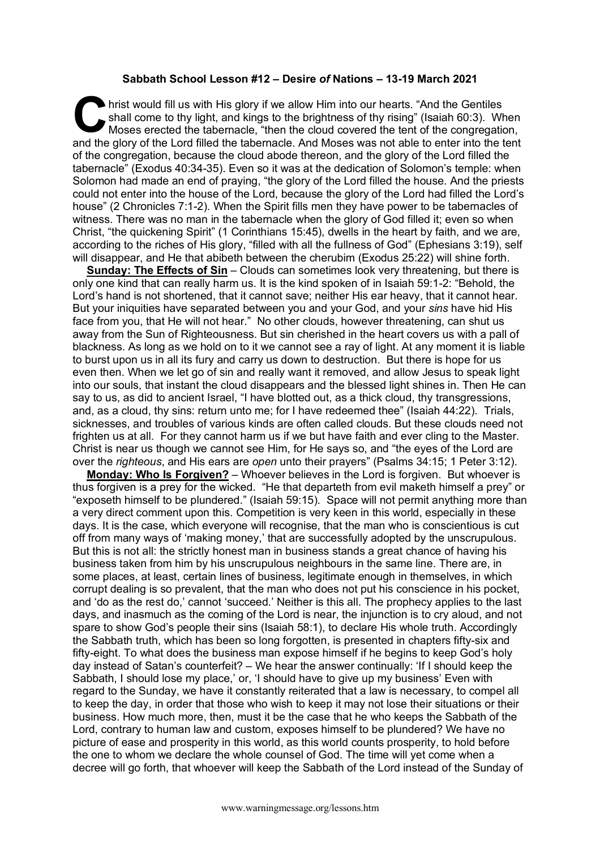## **Sabbath School Lesson #12 – Desire** *of* **Nations – 13-19 March 2021**

hrist would fill us with His glory if we allow Him into our hearts. "And the Gentiles shall come to thy light, and kings to the brightness of thy rising" (Isaiah 60:3). Whoses erected the tabernacle, "then the cloud covere shall come to thy light, and kings to the brightness of thy rising" (Isaiah 60:3). When Moses erected the tabernacle, "then the cloud covered the tent of the congregation, and the glory of the Lord filled the tabernacle. And Moses was not able to enter into the tent of the congregation, because the cloud abode thereon, and the glory of the Lord filled the tabernacle" (Exodus 40:34-35). Even so it was at the dedication of Solomon's temple: when Solomon had made an end of praying, "the glory of the Lord filled the house. And the priests could not enter into the house of the Lord, because the glory of the Lord had filled the Lord's house" (2 Chronicles 7:1-2). When the Spirit fills men they have power to be tabernacles of witness. There was no man in the tabernacle when the glory of God filled it; even so when Christ, "the quickening Spirit" (1 Corinthians 15:45), dwells in the heart by faith, and we are, according to the riches of His glory, "filled with all the fullness of God" (Ephesians 3:19), self will disappear, and He that abibeth between the cherubim (Exodus 25:22) will shine forth.

**Sunday: The Effects of Sin** – Clouds can sometimes look very threatening, but there is only one kind that can really harm us. It is the kind spoken of in Isaiah 59:1-2: "Behold, the Lord's hand is not shortened, that it cannot save; neither His ear heavy, that it cannot hear. But your iniquities have separated between you and your God, and your *sins* have hid His face from you, that He will not hear." No other clouds, however threatening, can shut us away from the Sun of Righteousness. But sin cherished in the heart covers us with a pall of blackness. As long as we hold on to it we cannot see a ray of light. At any moment it is liable to burst upon us in all its fury and carry us down to destruction. But there is hope for us even then. When we let go of sin and really want it removed, and allow Jesus to speak light into our souls, that instant the cloud disappears and the blessed light shines in. Then He can say to us, as did to ancient Israel, "I have blotted out, as a thick cloud, thy transgressions, and, as a cloud, thy sins: return unto me; for I have redeemed thee" (Isaiah 44:22). Trials, sicknesses, and troubles of various kinds are often called clouds. But these clouds need not frighten us at all. For they cannot harm us if we but have faith and ever cling to the Master. Christ is near us though we cannot see Him, for He says so, and "the eyes of the Lord are over the *righteous*, and His ears are *open* unto their prayers" (Psalms 34:15; 1 Peter 3:12).

**Monday: Who Is Forgiven?** – Whoever believes in the Lord is forgiven. But whoever is thus forgiven is a prey for the wicked. "He that departeth from evil maketh himself a prey" or "exposeth himself to be plundered." (Isaiah 59:15). Space will not permit anything more than a very direct comment upon this. Competition is very keen in this world, especially in these days. It is the case, which everyone will recognise, that the man who is conscientious is cut off from many ways of 'making money,' that are successfully adopted by the unscrupulous. But this is not all: the strictly honest man in business stands a great chance of having his business taken from him by his unscrupulous neighbours in the same line. There are, in some places, at least, certain lines of business, legitimate enough in themselves, in which corrupt dealing is so prevalent, that the man who does not put his conscience in his pocket, and 'do as the rest do,' cannot 'succeed.' Neither is this all. The prophecy applies to the last days, and inasmuch as the coming of the Lord is near, the injunction is to cry aloud, and not spare to show God's people their sins (Isaiah 58:1), to declare His whole truth. Accordingly the Sabbath truth, which has been so long forgotten, is presented in chapters fifty-six and fifty-eight. To what does the business man expose himself if he begins to keep God's holy day instead of Satan's counterfeit? – We hear the answer continually: 'If I should keep the Sabbath, I should lose my place,' or, 'I should have to give up my business' Even with regard to the Sunday, we have it constantly reiterated that a law is necessary, to compel all to keep the day, in order that those who wish to keep it may not lose their situations or their business. How much more, then, must it be the case that he who keeps the Sabbath of the Lord, contrary to human law and custom, exposes himself to be plundered? We have no picture of ease and prosperity in this world, as this world counts prosperity, to hold before the one to whom we declare the whole counsel of God. The time will yet come when a decree will go forth, that whoever will keep the Sabbath of the Lord instead of the Sunday of